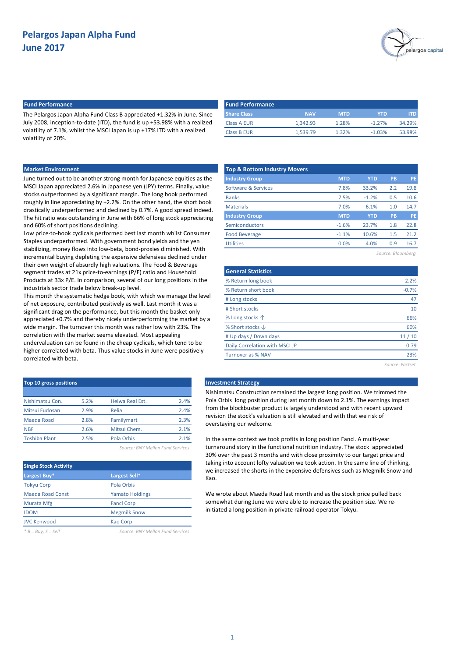

# **Fund Performance Fund Performance**

The Pelargos Japan Alpha Fund Class B appreciated +1.32% in June. Since July 2008, inception-to-date (ITD), the fund is up +53.98% with a realized volatility of 7.1%, whilst the MSCI Japan is up +17% ITD with a realized volatility of 20%.

| <b>Fund Performance</b> |            |            |           |        |
|-------------------------|------------|------------|-----------|--------|
| <b>Share Class</b>      | <b>NAV</b> | <b>MTD</b> | YTD.      | ITD I  |
| Class A EUR             | 1.342.93   | 1.28%      | $-1.27%$  | 34.29% |
| Class B EUR             | 1.539.79   | 1.32%      | $-1.03\%$ | 53.98% |

## **Market Environment**

June turned out to be another strong month for Japanese equities as the MSCI Japan appreciated 2.6% in Japanese yen (JPY) terms. Finally, value stocks outperformed by a significant margin. The long book performed roughly in line appreciating by +2.2%. On the other hand, the short book drastically underperformed and declined by 0.7%. A good spread indeed. The hit ratio was outstanding in June with 66% of long stock appreciating and 60% of short positions declining.

Low price-to-book cyclicals performed best last month whilst Consumer Staples underperformed. With government bond yields and the yen stabilizing, money flows into low-beta, bond-proxies diminished. With incremental buying depleting the expensive defensives declined under their own weight of absurdly high valuations. The Food & Beverage segment trades at 21x price-to-earnings (P/E) ratio and Household Products at 33x P/E. In comparison, several of our long positions in the industrials sector trade below break-up level.

This month the systematic hedge book, with which we manage the level of net exposure, contributed positively as well. Last month it was a significant drag on the performance, but this month the basket only appreciated +0.7% and thereby nicely underperforming the market by a wide margin. The turnover this month was rather low with 23%. The correlation with the market seems elevated. Most appealing undervaluation can be found in the cheap cyclicals, which tend to be higher correlated with beta. Thus value stocks in June were positively correlated with beta.

| Top 10 gross positions |      |                                                                                                 |      |
|------------------------|------|-------------------------------------------------------------------------------------------------|------|
|                        |      |                                                                                                 |      |
| Nishimatsu Con.        | 5.2% | Heiwa Real Est.                                                                                 | 2.4% |
| Mitsui Fudosan         | 2.9% | Relia                                                                                           | 2.4% |
| Maeda Road             | 2.8% | Familymart                                                                                      | 2.3% |
| <b>NBF</b>             | 2.6% | Mitsui Chem.                                                                                    | 2.1% |
| <b>Toshiba Plant</b>   | 2.5% | Pola Orbis                                                                                      | 2.1% |
|                        |      | $C = \{1, 2, \ldots, n\}$ . Respectively, $C = \{1, 2, \ldots, n\}$ , $C = \{1, 2, \ldots, n\}$ |      |

*Source: BNY Mellon Fund Services*

| <b>Single Stock Activity</b> |                        |
|------------------------------|------------------------|
| Largest Buy*                 | Largest Sell*          |
| <b>Tokyu Corp</b>            | Pola Orbis             |
| <b>Maeda Road Const</b>      | <b>Yamato Holdings</b> |
| Murata Mfg                   | <b>Fancl Corp</b>      |
| <b>IDOM</b>                  | <b>Megmilk Snow</b>    |
| <b>JVC Kenwood</b>           | Kao Corp               |
|                              |                        |

*\* B = Buy; S = Sell Source: BNY Mellon Fund Services*

| <b>MTD</b> | <b>YTD</b> | PB  | <b>PE</b> |
|------------|------------|-----|-----------|
| 7.8%       | 33.2%      | 2.2 | 19.8      |
| 7.5%       | $-1.2%$    | 0.5 | 10.6      |
| 7.0%       | 6.1%       | 1.0 | 14.7      |
| <b>MTD</b> | <b>YTD</b> | PB  | PE        |
| $-1.6%$    | 23.7%      | 1.8 | 22.8      |
| $-1.1%$    | 10.6%      | 1.5 | 21.2      |
| 0.0%       | 4.0%       | 0.9 | 16.7      |
|            |            |     |           |

*Source: Bloomberg*

| <b>General Statistics</b>      |         |
|--------------------------------|---------|
| % Return long book             | 2.2%    |
| % Return short book            | $-0.7%$ |
| # Long stocks                  | 47      |
| # Short stocks                 | 10      |
| % Long stocks 个                | 66%     |
| % Short stocks $\downarrow$    | 60%     |
| # Up days / Down days          | 11/10   |
| Daily Correlation with MSCI JP | 0.79    |
| <b>Turnover as % NAV</b>       | 23%     |

*Source: Factset*

#### **Investment Strategy**

Nishimatsu Construction remained the largest long position. We trimmed the Pola Orbis long position during last month down to 2.1%. The earnings impact from the blockbuster product is largely understood and with recent upward revision the stock's valuation is still elevated and with that we risk of overstaying our welcome.

In the same context we took profits in long position Fancl. A multi-year turnaround story in the functional nutrition industry. The stock appreciated 30% over the past 3 months and with close proximity to our target price and taking into account lofty valuation we took action. In the same line of thinking, we increased the shorts in the expensive defensives such as Megmilk Snow and Kao.

We wrote about Maeda Road last month and as the stock price pulled back somewhat during June we were able to increase the position size. We reinitiated a long position in private railroad operator Tokyu.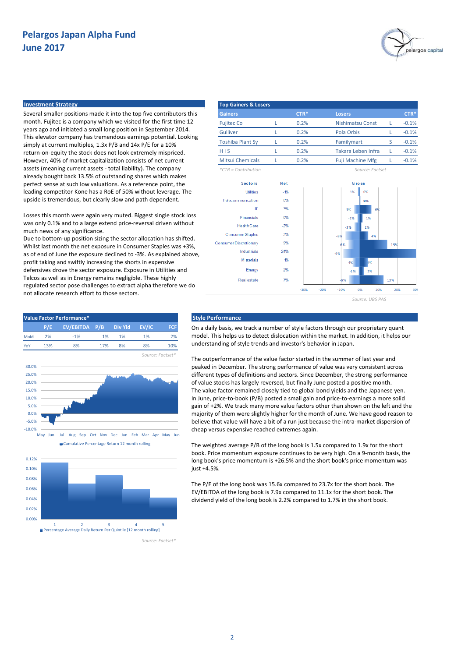

### **Investment Strategy Top Gainers & Losers**

Several smaller positions made it into the top five contributors this month. Fujitec is a company which we visited for the first time 12 years ago and initiated a small long position in September 2014. This elevator company has tremendous earnings potential. Looking simply at current multiples, 1.3x P/B and 14x P/E for a 10% return-on-equity the stock does not look extremely mispriced. However, 40% of market capitalization consists of net current assets (meaning current assets - total liability). The company already bought back 13.5% of outstanding shares which makes perfect sense at such low valuations. As a reference point, the leading competitor Kone has a RoE of 50% without leverage. The upside is tremendous, but clearly slow and path dependent.

Losses this month were again very muted. Biggest single stock loss was only 0.1% and to a large extend price-reversal driven without much news of any significance.

Due to bottom-up position sizing the sector allocation has shifted. Whilst last month the net exposure in Consumer Staples was +3%, as of end of June the exposure declined to -3%. As explained above, profit taking and swiftly increasing the shorts in expensive defensives drove the sector exposure. Exposure in Utilities and Telcos as well as in Energy remains negligible. These highly regulated sector pose challenges to extract alpha therefore we do not allocate research effort to those sectors.





*Source: UBS PAS*







On a daily basis, we track a number of style factors through our proprietary quant model. This helps us to detect dislocation within the market. In addition, it helps our understanding of style trends and investor's behavior in Japan.

The outperformance of the value factor started in the summer of last year and peaked in December. The strong performance of value was very consistent across different types of definitions and sectors. Since December, the strong performance of value stocks has largely reversed, but finally June posted a positive month. The value factor remained closely tied to global bond yields and the Japanese yen. In June, price-to-book (P/B) posted a small gain and price-to-earnings a more solid gain of +2%. We track many more value factors other than shown on the left and the majority of them were slightly higher for the month of June. We have good reason to believe that value will have a bit of a run just because the intra-market dispersion of cheap versus expensive reached extremes again.

The weighted average P/B of the long book is 1.5x compared to 1.9x for the short book. Price momentum exposure continues to be very high. On a 9-month basis, the long book's price momentum is +26.5% and the short book's price momentum was just +4.5%.

The P/E of the long book was 15.6x compared to 23.7x for the short book. The EV/EBITDA of the long book is 7.9x compared to 11.1x for the short book. The dividend yield of the long book is 2.2% compared to 1.7% in the short book.

*Source: Factset\**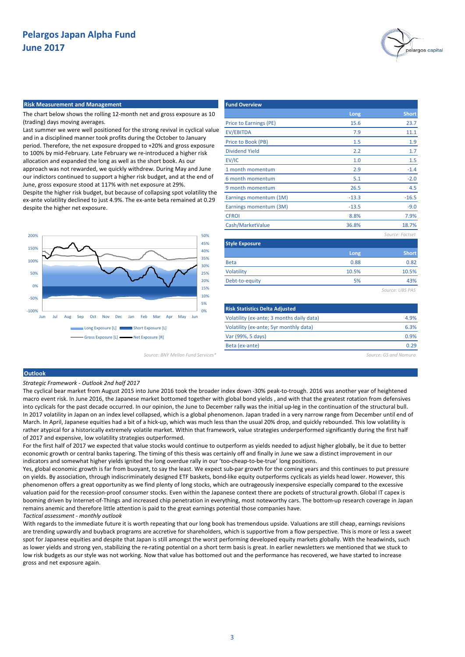

#### **Risk Measurement and Management Fund Overview Fund Overview**

The chart below shows the rolling 12-month net and gross exposure as 10 (trading) days moving averages.

Last summer we were well positioned for the strong revival in cyclical value and in a disciplined manner took profits during the October to January period. Therefore, the net exposure dropped to +20% and gross exposure to 100% by mid-February. Late February we re-introduced a higher risk allocation and expanded the long as well as the short book. As our approach was not rewarded, we quickly withdrew. During May and June our indictors continued to support a higher risk budget, and at the end of June, gross exposure stood at 117% with net exposure at 29%. Despite the higher risk budget, but because of collapsing spot volatility the ex-ante volatility declined to just 4.9%. The ex-ante beta remained at 0.29 despite the higher net exposure.



|                                           | Long    | <b>Short</b>    |
|-------------------------------------------|---------|-----------------|
| Price to Earnings (PE)                    | 15.6    | 23.7            |
| <b>EV/EBITDA</b>                          | 7.9     | 11.1            |
| Price to Book (PB)                        | 1.5     | 1.9             |
| <b>Dividend Yield</b>                     | 2.2     | 1.7             |
| EV/IC                                     | 1.0     | 1.5             |
| 1 month momentum                          | 2.9     | $-1.4$          |
| 6 month momentum                          | 5.1     | $-2.0$          |
| 9 month momentum                          | 26.5    | 4.5             |
| Earnings momentum (1M)                    | $-13.3$ | $-16.5$         |
| Earnings momentum (3M)                    | $-13.5$ | $-9.0$          |
| <b>CFROI</b>                              | 8.8%    | 7.9%            |
| Cash/MarketValue                          | 36.8%   | 18.7%           |
|                                           |         | Source: Factset |
| <b>Style Exposure</b>                     |         |                 |
|                                           | Long    | <b>Short</b>    |
| <b>Beta</b>                               | 0.88    | 0.82            |
| Volatility                                | 10.5%   | 10.5%           |
| Debt-to-equity                            | 5%      | 43%             |
|                                           |         | Source: UBS PAS |
| <b>Risk Statistics Delta Adjusted</b>     |         |                 |
| Volatility (ex-ante; 3 months daily data) |         | 4.9%            |

*Source: BNY Mellon Fund Services\* Source: GS and Nomura*

0.29

6.3% 0.9%

### **Outlook**

#### *Strategic Framework - Outlook 2nd half 2017*

The cyclical bear market from August 2015 into June 2016 took the broader index down -30% peak-to-trough. 2016 was another year of heightened macro event risk. In June 2016, the Japanese market bottomed together with global bond yields , and with that the greatest rotation from defensives into cyclicals for the past decade occurred. In our opinion, the June to December rally was the initial up-leg in the continuation of the structural bull. In 2017 volatility in Japan on an index level collapsed, which is a global phenomenon. Japan traded in a very narrow range from December until end of March. In April, Japanese equities had a bit of a hick-up, which was much less than the usual 20% drop, and quickly rebounded. This low volatility is rather atypical for a historically extremely volatile market. Within that framework, value strategies underperformed significantly during the first half of 2017 and expensive, low volatility strategies outperformed.

Volatility (ex-ante; 5yr monthly data)

Var (99%, 5 days) Beta (ex-ante)

For the first half of 2017 we expected that value stocks would continue to outperform as yields needed to adjust higher globally, be it due to better economic growth or central banks tapering. The timing of this thesis was certainly off and finally in June we saw a distinct improvement in our indicators and somewhat higher yields ignited the long overdue rally in our 'too-cheap-to-be-true' long positions.

Yes, global economic growth is far from buoyant, to say the least. We expect sub-par growth for the coming years and this continues to put pressure on yields. By association, through indiscriminately designed ETF baskets, bond-like equity outperforms cyclicals as yields head lower. However, this phenomenon offers a great opportunity as we find plenty of long stocks, which are outrageously inexpensive especially compared to the excessive valuation paid for the recession-proof consumer stocks. Even within the Japanese context there are pockets of structural growth. Global IT capex is booming driven by Internet-of-Things and increased chip penetration in everything, most noteworthy cars. The bottom-up research coverage in Japan remains anemic and therefore little attention is paid to the great earnings potential those companies have. *Tactical assessment - monthly outlook*

With regards to the immediate future it is worth repeating that our long book has tremendous upside. Valuations are still cheap, earnings revisions are trending upwardly and buyback programs are accretive for shareholders, which is supportive from a flow perspective. This is more or less a sweet spot for Japanese equities and despite that Japan is still amongst the worst performing developed equity markets globally. With the headwinds, such as lower yields and strong yen, stabilizing the re-rating potential on a short term basis is great. In earlier newsletters we mentioned that we stuck to low risk budgets as our style was not working. Now that value has bottomed out and the performance has recovered, we have started to increase gross and net exposure again.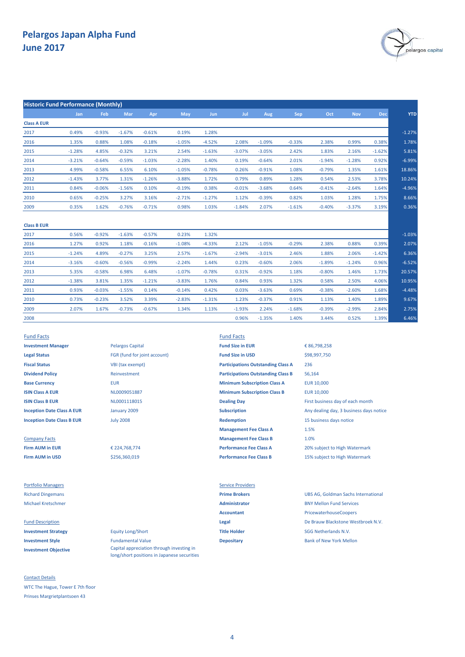

| <b>Historic Fund Performance (Monthly)</b> |          |          |          |          |          |            |          |          |          |          |            |            |            |
|--------------------------------------------|----------|----------|----------|----------|----------|------------|----------|----------|----------|----------|------------|------------|------------|
|                                            | Jan      | Feb      | Mar      | Apr      | May      | <b>Jun</b> | Jul      | Aug      | Sep      | Oct      | <b>Nov</b> | <b>Dec</b> | <b>YTD</b> |
| <b>Class A EUR</b>                         |          |          |          |          |          |            |          |          |          |          |            |            |            |
| 2017                                       | 0.49%    | $-0.93%$ | $-1.67%$ | $-0.61%$ | 0.19%    | 1.28%      |          |          |          |          |            |            | $-1.27%$   |
| 2016                                       | 1.35%    | 0.88%    | 1.08%    | $-0.18%$ | $-1.05%$ | $-4.52%$   | 2.08%    | $-1.09%$ | $-0.33%$ | 2.38%    | 0.99%      | 0.38%      | 1.78%      |
| 2015                                       | $-1.28%$ | 4.85%    | $-0.32%$ | 3.21%    | 2.54%    | $-1.63%$   | $-3.07%$ | $-3.05%$ | 2.42%    | 1.83%    | 2.16%      | $-1.62%$   | 5.81%      |
| 2014                                       | $-3.21%$ | $-0.64%$ | $-0.59%$ | $-1.03%$ | $-2.28%$ | 1.40%      | 0.19%    | $-0.64%$ | 2.01%    | $-1.94%$ | $-1.28%$   | 0.92%      | $-6.99%$   |
| 2013                                       | 4.99%    | $-0.58%$ | 6.55%    | 6.10%    | $-1.05%$ | $-0.78%$   | 0.26%    | $-0.91%$ | 1.08%    | $-0.79%$ | 1.35%      | 1.61%      | 18.86%     |
| 2012                                       | $-1.43%$ | 3.77%    | 1.31%    | $-1.26%$ | $-3.88%$ | 1.72%      | 0.79%    | 0.89%    | 1.28%    | 0.54%    | 2.53%      | 3.78%      | 10.24%     |
| 2011                                       | 0.84%    | $-0.06%$ | $-1.56%$ | 0.10%    | $-0.19%$ | 0.38%      | $-0.01%$ | $-3.68%$ | 0.64%    | $-0.41%$ | $-2.64%$   | 1.64%      | $-4.96%$   |
| 2010                                       | 0.65%    | $-0.25%$ | 3.27%    | 3.16%    | $-2.71%$ | $-1.27%$   | 1.12%    | $-0.39%$ | 0.82%    | 1.03%    | 1.28%      | 1.75%      | 8.66%      |
| 2009                                       | 0.35%    | 1.62%    | $-0.76%$ | $-0.71%$ | 0.98%    | 1.03%      | $-1.84%$ | 2.07%    | $-1.61%$ | $-0.40%$ | $-3.37%$   | 3.19%      | 0.36%      |
| <b>Class B EUR</b>                         |          |          |          |          |          |            |          |          |          |          |            |            |            |
| 2017                                       | 0.56%    | $-0.92%$ | $-1.63%$ | $-0.57%$ | 0.23%    | 1.32%      |          |          |          |          |            |            | $-1.03%$   |
| 2016                                       | 1.27%    | 0.92%    | 1.18%    | $-0.16%$ | $-1.08%$ | $-4.33%$   | 2.12%    | $-1.05%$ | $-0.29%$ | 2.38%    | 0.88%      | 0.39%      | 2.07%      |
| 2015                                       | $-1.24%$ | 4.89%    | $-0.27%$ | 3.25%    | 2.57%    | $-1.67%$   | $-2.94%$ | $-3.01%$ | 2.46%    | 1.88%    | 2.06%      | $-1.42%$   | 6.36%      |
|                                            |          |          |          |          |          |            |          |          |          |          |            |            |            |

| $-6.52%$ | 0.96% | $-1.24%$ | $-1.89%$ | 2.06%    | $-0.60%$ | 0.23%    | 1.44%    | $-2.24%$ | $-0.99%$ | $-0.56%$ | $-0.60%$ | $-3.16%$ | 2014 |
|----------|-------|----------|----------|----------|----------|----------|----------|----------|----------|----------|----------|----------|------|
| 20.57%   | 1.73% | 1.46%    | $-0.80%$ | 1.18%    | $-0.92%$ | 0.31%    | $-0.78%$ | $-1.07%$ | 6.48%    | 6.98%    | $-0.58%$ | 5.35%    | 2013 |
| 10.95%   | 4.06% | 2.50%    | 0.58%    | 1.32%    | 0.93%    | 0.84%    | 1.76%    | $-3.83%$ | $-1.21%$ | 1.35%    | 3.81%    | $-1.38%$ | 2012 |
| $-4.48%$ | 1.68% | $-2.60%$ | $-0.38%$ | 0.69%    | $-3.63%$ | 0.03%    | 0.42%    | $-0.14%$ | 0.14%    | $-1.55%$ | $-0.03%$ | 0.93%    | 2011 |
| 9.67%    | 1.89% | 1.40%    | 1.13%    | 0.91%    | $-0.37%$ | 1.23%    | $-1.31%$ | $-2.83%$ | 3.39%    | 3.52%    | $-0.23%$ | 0.73%    | 2010 |
| 2.75%    | 2.84% | $-2.99%$ | $-0.39%$ | $-1.68%$ | 2.24%    | $-1.93%$ | 1.13%    | 1.34%    | $-0.67%$ | $-0.73%$ | 1.67%    | 2.07%    | 2009 |
| 6.46%    | 1.39% | 0.52%    | 3.44%    | 1.40%    | $-1.35%$ | 0.96%    |          |          |          |          |          |          | 2008 |

Fund Facts Fund Facts **Investment Manager Fund Size in EUR** Pelargos Capital **Fund Size in EUR Legal Status** FGR (fund for joint account) **Fund Size in USD Fiscal Status** VBI (tax exempt) **Dividend Policy** Reinvestment

**Firm AUM in USD Same Class B** 5256,360,019 **Performance Fee Class B** 15% subject to High Watermark

**Investment Objective**

Contact Details WTC The Hague, Tower E 7th floor Prinses Margrietplantsoen 43

January 2009 July 2008

€ 224,768,774 \$256,360,019

Portfolio Managers **Service Providers** Service Providers

**Investment Strategy** Equity Long/Short **Title Holder** SGG Netherlands N.V. **Investment Style Fundamental Value Depositary Depositary Bank of New York Mellon** Capital appreciation through investing in long/short positions in Japanese securities

**Base Currency** EUR EUR 10,000 **Minimum Subscription Class A ISIN Class A EUR EUR ISIN CLASS A EURE A CONSUMITY OF THE CONSUMINITY OF THE CURT OF THE CURT OF THE CURT OF THE CURT OF THE CURT OF THE CURT OF THE CURT OF THE CURT OF THE CURT OF THE CURT OF THE CURT OF THE CURT OF ISIN Class B EUR ISIN Class B EUR** NL0001118015 **Dealing Day Dealing Day** First business day of each month **Inception Date Class B EUR Redemption Redemption** 15 business days notice **Management Fee Class A** Company Facts **Management Fee Class B Firm AUM in EUR E** 224,768,774 **Performance Fee Class A** 20% subject to High Watermark **Participations Outstanding Class B Participations Outstanding Class A**

**Inception Date Class A EUR Subscription Subscription** Any dealing day, 3 business days notice 1.5% 1.0% € 86,798,258 236 56,164 \$98,997,750

Richard Dingemans **Prime Brokers** UBS AG, Goldman Sachs International Michael Kretschmer **Administrator** BNY Mellon Fund Services **Accountant** PricewaterhouseCoopers Fund Description **Legal** De Brauw Blackstone Westbroek N.V.